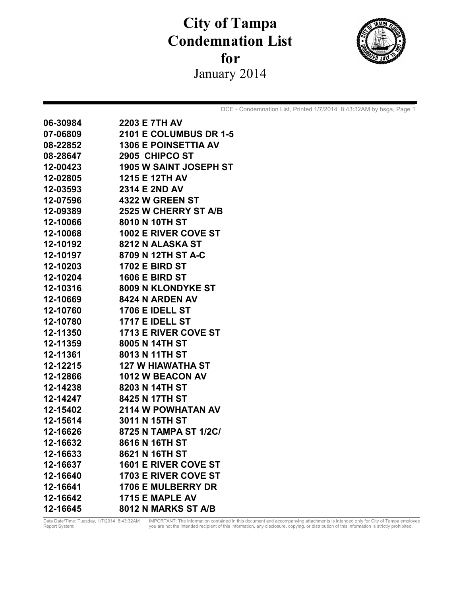## **City of Tampa Condemnation List**  for January 2014



DCE - Condemnation List, Printed 1/7/2014 8:43:32AM by hsga, Page 1

| 06-30984 | <b>2203 E 7TH AV</b>          |
|----------|-------------------------------|
| 07-06809 | <b>2101 E COLUMBUS DR 1-5</b> |
| 08-22852 | <b>1306 E POINSETTIA AV</b>   |
| 08-28647 | 2905 CHIPCO ST                |
| 12-00423 | <b>1905 W SAINT JOSEPH ST</b> |
| 12-02805 | 1215 E 12TH AV                |
| 12-03593 | 2314 E 2ND AV                 |
| 12-07596 | <b>4322 W GREEN ST</b>        |
| 12-09389 | <b>2525 W CHERRY ST A/B</b>   |
| 12-10066 | 8010 N 10TH ST                |
| 12-10068 | <b>1002 E RIVER COVE ST</b>   |
| 12-10192 | 8212 N ALASKA ST              |
| 12-10197 | 8709 N 12TH ST A-C            |
| 12-10203 | <b>1702 E BIRD ST</b>         |
| 12-10204 | <b>1606 E BIRD ST</b>         |
| 12-10316 | 8009 N KLONDYKE ST            |
| 12-10669 | <b>8424 N ARDEN AV</b>        |
| 12-10760 | <b>1706 E IDELL ST</b>        |
| 12-10780 | <b>1717 E IDELL ST</b>        |
| 12-11350 | <b>1713 E RIVER COVE ST</b>   |
| 12-11359 | 8005 N 14TH ST                |
| 12-11361 | 8013 N 11TH ST                |
| 12-12215 | 127 W HIAWATHA ST             |
| 12-12866 | <b>1012 W BEACON AV</b>       |
| 12-14238 | 8203 N 14TH ST                |
| 12-14247 | 8425 N 17TH ST                |
| 12-15402 | <b>2114 W POWHATAN AV</b>     |
| 12-15614 | 3011 N 15TH ST                |
| 12-16626 | 8725 N TAMPA ST 1/2C/         |
| 12-16632 | 8616 N 16TH ST                |
| 12-16633 | 8621 N 16TH ST                |
| 12-16637 | <b>1601 E RIVER COVE ST</b>   |
| 12-16640 | 1703 E RIVER COVE ST          |
| 12-16641 | <b>1706 E MULBERRY DR</b>     |
| 12-16642 | 1715 E MAPLE AV               |
| 12-16645 | 8012 N MARKS ST A/B           |

Data Date/Time: Tuesday, 1/7/2014 8:43:32AM IMPORTANT: The information contained in this document and accompanying attachments is intended only for City of Tampa employee<br>Report System: you are not the intended recipient o Data Date/Time: Tuesday, 1/7/2014 8:43:32AM<br>Report System: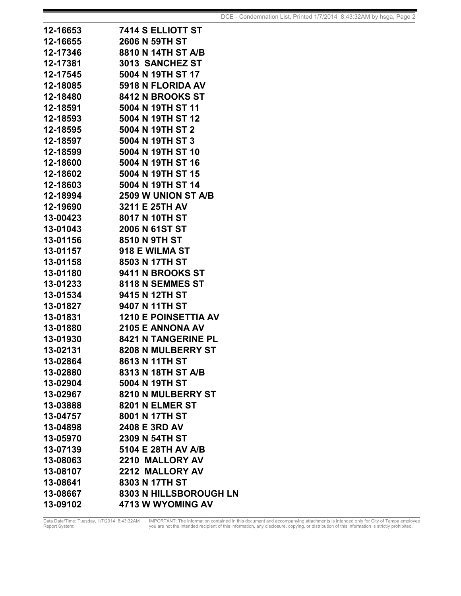| 12-16653 | 7414 S ELLIOTT ST           |
|----------|-----------------------------|
| 12-16655 | 2606 N 59TH ST              |
| 12-17346 | 8810 N 14TH ST A/B          |
| 12-17381 | 3013 SANCHEZ ST             |
| 12-17545 | 5004 N 19TH ST 17           |
| 12-18085 | <b>5918 N FLORIDA AV</b>    |
| 12-18480 | <b>8412 N BROOKS ST</b>     |
| 12-18591 | 5004 N 19TH ST 11           |
| 12-18593 | 5004 N 19TH ST 12           |
| 12-18595 | 5004 N 19TH ST 2            |
| 12-18597 | 5004 N 19TH ST 3            |
| 12-18599 | 5004 N 19TH ST 10           |
| 12-18600 | 5004 N 19TH ST 16           |
| 12-18602 | 5004 N 19TH ST 15           |
| 12-18603 | 5004 N 19TH ST 14           |
| 12-18994 | <b>2509 W UNION ST A/B</b>  |
| 12-19690 | 3211 E 25TH AV              |
| 13-00423 | 8017 N 10TH ST              |
| 13-01043 | 2006 N 61ST ST              |
| 13-01156 | 8510 N 9TH ST               |
| 13-01157 | 918 E WILMA ST              |
| 13-01158 | 8503 N 17TH ST              |
| 13-01180 | <b>9411 N BROOKS ST</b>     |
| 13-01233 | 8118 N SEMMES ST            |
| 13-01534 | 9415 N 12TH ST              |
| 13-01827 | 9407 N 11TH ST              |
| 13-01831 | <b>1210 E POINSETTIA AV</b> |
| 13-01880 | <b>2105 E ANNONA AV</b>     |
| 13-01930 | <b>8421 N TANGERINE PL</b>  |
| 13-02131 | <b>8208 N MULBERRY ST</b>   |
| 13-02864 | 8613 N 11TH ST              |
| 13-02880 | 8313 N 18TH ST A/B          |
| 13-02904 | 5004 N 19TH ST              |
| 13-02967 | 8210 N MULBERRY ST          |
| 13-03888 | 8201 N ELMER ST             |
| 13-04757 | 8001 N 17TH ST              |
| 13-04898 | 2408 E 3RD AV               |
| 13-05970 | 2309 N 54TH ST              |
| 13-07139 | 5104 E 28TH AV A/B          |
| 13-08063 | 2210 MALLORY AV             |
| 13-08107 | 2212 MALLORY AV             |
| 13-08641 | 8303 N 17TH ST              |
| 13-08667 | 8303 N HILLSBOROUGH LN      |
| 13-09102 | 4713 W WYOMING AV           |

Data Date/Time: Tuesday, 1/7/2014 8:43:32AM IMPORTANT: The information contained in this document and accompanying attachments is intended only for City of Tampa employee<br>Report System: you are not the intended recipient o Data Date/Time: Tuesday, 1/7/2014 8:43:32AM<br>Report System: